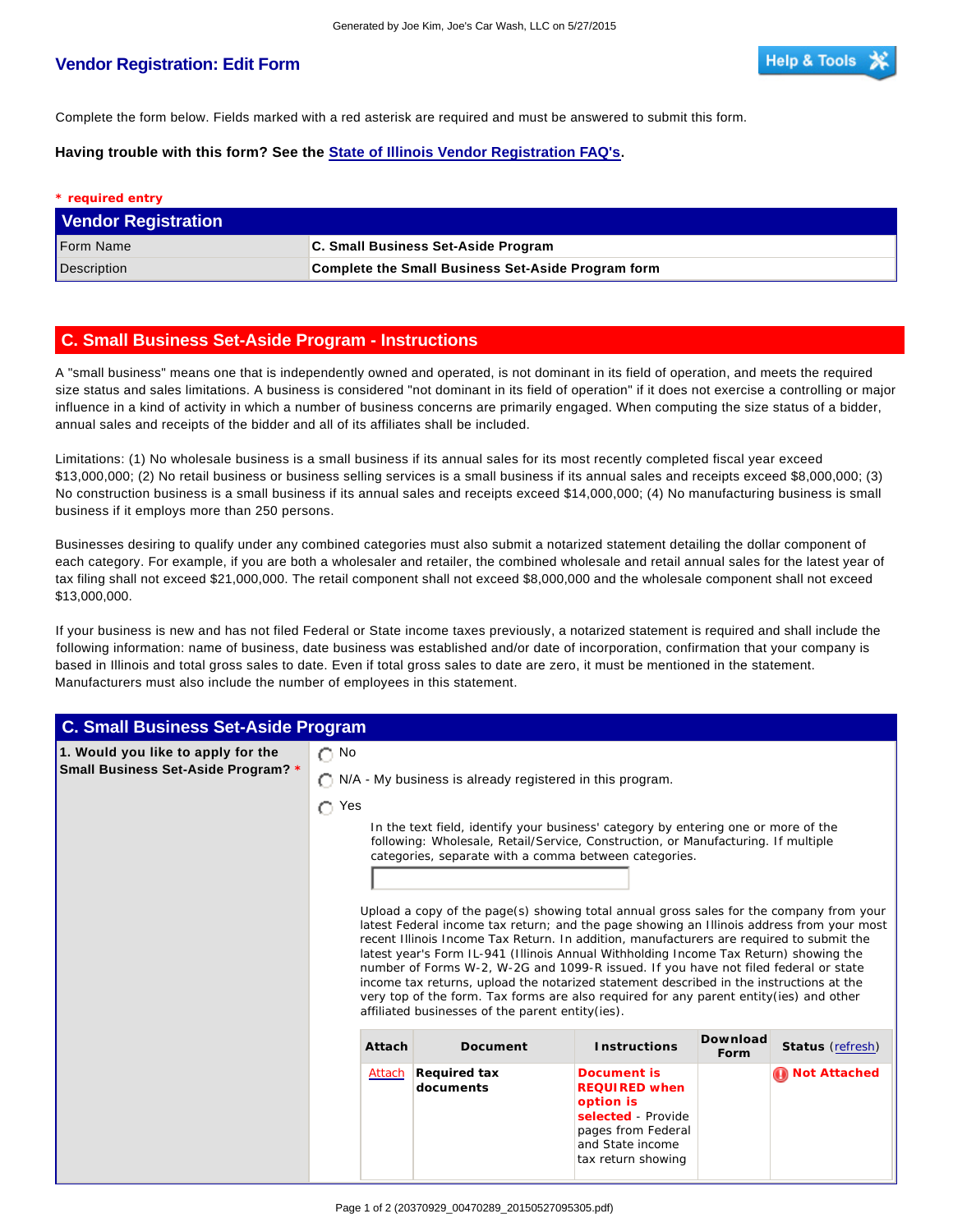## **Vendor Registration: Edit Form**

Complete the form below. Fields marked with a red asterisk are required and must be answered to submit this form.

**Having trouble with this form? See the State of Illinois Vendor Registration FAQ's.**

| * required entry           |                                                           |
|----------------------------|-----------------------------------------------------------|
| <b>Vendor Registration</b> |                                                           |
| Form Name                  | C. Small Business Set-Aside Program                       |
| Description                | <b>Complete the Small Business Set-Aside Program form</b> |

## **C. Small Business Set-Aside Program - Instructions**

A "small business" means one that is independently owned and operated, is not dominant in its field of operation, and meets the required size status and sales limitations. A business is considered "not dominant in its field of operation" if it does not exercise a controlling or major influence in a kind of activity in which a number of business concerns are primarily engaged. When computing the size status of a bidder, annual sales and receipts of the bidder and all of its affiliates shall be included.

Limitations: (1) No wholesale business is a small business if its annual sales for its most recently completed fiscal year exceed \$13,000,000; (2) No retail business or business selling services is a small business if its annual sales and receipts exceed \$8,000,000; (3) No construction business is a small business if its annual sales and receipts exceed \$14,000,000; (4) No manufacturing business is small business if it employs more than 250 persons.

Businesses desiring to qualify under any combined categories must also submit a notarized statement detailing the dollar component of each category. For example, if you are both a wholesaler and retailer, the combined wholesale and retail annual sales for the latest year of tax filing shall not exceed \$21,000,000. The retail component shall not exceed \$8,000,000 and the wholesale component shall not exceed \$13,000,000.

If your business is new and has not filed Federal or State income taxes previously, a notarized statement is required and shall include the following information: name of business, date business was established and/or date of incorporation, confirmation that your company is based in Illinois and total gross sales to date. Even if total gross sales to date are zero, it must be mentioned in the statement. Manufacturers must also include the number of employees in this statement.

| <b>C. Small Business Set-Aside Program</b> |                                                          |                                                                                                                                                                                                                                                                                                                                                                                                                                                                                                                                                                                                                                                                                                                                                                                                                                  |                                                                                                                                        |                  |                  |  |
|--------------------------------------------|----------------------------------------------------------|----------------------------------------------------------------------------------------------------------------------------------------------------------------------------------------------------------------------------------------------------------------------------------------------------------------------------------------------------------------------------------------------------------------------------------------------------------------------------------------------------------------------------------------------------------------------------------------------------------------------------------------------------------------------------------------------------------------------------------------------------------------------------------------------------------------------------------|----------------------------------------------------------------------------------------------------------------------------------------|------------------|------------------|--|
| 1. Would you like to apply for the         | $\bigcap$ No                                             |                                                                                                                                                                                                                                                                                                                                                                                                                                                                                                                                                                                                                                                                                                                                                                                                                                  |                                                                                                                                        |                  |                  |  |
| Small Business Set-Aside Program? *        | N/A - My business is already registered in this program. |                                                                                                                                                                                                                                                                                                                                                                                                                                                                                                                                                                                                                                                                                                                                                                                                                                  |                                                                                                                                        |                  |                  |  |
|                                            | $\bigcap$ Yes                                            |                                                                                                                                                                                                                                                                                                                                                                                                                                                                                                                                                                                                                                                                                                                                                                                                                                  |                                                                                                                                        |                  |                  |  |
|                                            | categories, separate with a comma between categories.    | In the text field, identify your business' category by entering one or more of the<br>following: Wholesale, Retail/Service, Construction, or Manufacturing. If multiple<br>Upload a copy of the page(s) showing total annual gross sales for the company from your<br>latest Federal income tax return; and the page showing an Illinois address from your most<br>recent Illinois Income Tax Return. In addition, manufacturers are required to submit the<br>latest year's Form IL-941 (Illinois Annual Withholding Income Tax Return) showing the<br>number of Forms W-2, W-2G and 1099-R issued. If you have not filed federal or state<br>income tax returns, upload the notarized statement described in the instructions at the<br>very top of the form. Tax forms are also required for any parent entity(ies) and other |                                                                                                                                        |                  |                  |  |
|                                            |                                                          | affiliated businesses of the parent entity(ies).                                                                                                                                                                                                                                                                                                                                                                                                                                                                                                                                                                                                                                                                                                                                                                                 |                                                                                                                                        |                  |                  |  |
|                                            | Attach                                                   | Document                                                                                                                                                                                                                                                                                                                                                                                                                                                                                                                                                                                                                                                                                                                                                                                                                         | <b>Instructions</b>                                                                                                                    | Download<br>Form | Status (refresh) |  |
|                                            | Attach                                                   | Required tax<br>documents                                                                                                                                                                                                                                                                                                                                                                                                                                                                                                                                                                                                                                                                                                                                                                                                        | Document is<br><b>REQUIRED</b> when<br>option is<br>selected - Provide<br>pages from Federal<br>and State income<br>tax return showing |                  | Not Attached     |  |